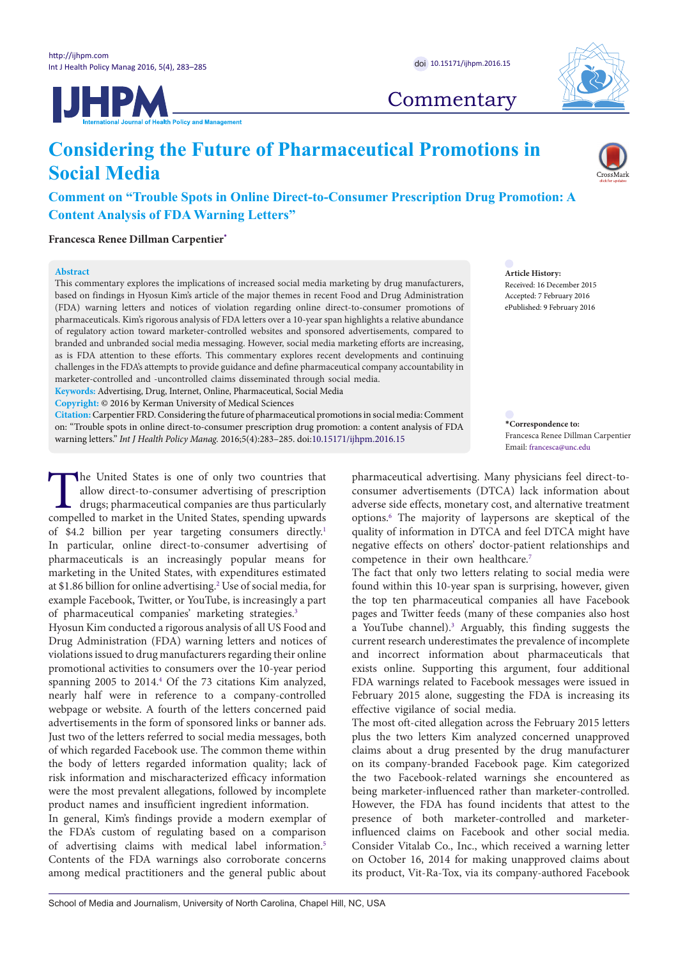



**Commentary** 

# **Considering the Future of Pharmaceutical Promotions in Social Media**

## **Comment on "Trouble Spots in Online Direct-to-Consumer Prescription Drug Promotion: A Content Analysis of FDA Warning Letters"**

**Francesca Renee Dillman Carpentier[\\*](#page-0-0)**

#### **Abstract**

This commentary explores the implications of increased social media marketing by drug manufacturers, based on findings in Hyosun Kim's article of the major themes in recent Food and Drug Administration (FDA) warning letters and notices of violation regarding online direct-to-consumer promotions of pharmaceuticals. Kim's rigorous analysis of FDA letters over a 10-year span highlights a relative abundance of regulatory action toward marketer-controlled websites and sponsored advertisements, compared to branded and unbranded social media messaging. However, social media marketing efforts are increasing, as is FDA attention to these efforts. This commentary explores recent developments and continuing challenges in the FDA's attempts to provide guidance and define pharmaceutical company accountability in marketer-controlled and -uncontrolled claims disseminated through social media.

**Keywords:** Advertising, Drug, Internet, Online, Pharmaceutical, Social Media

**Copyright:** © 2016 by Kerman University of Medical Sciences

**Citation:** Carpentier FRD. Considering the future of pharmaceutical promotions in social media: Comment on: "Trouble spots in online direct-to-consumer prescription drug promotion: a content analysis of FDA warning letters." *Int J Health Policy Manag.* 2016;5(4):283–285. doi:[10.15171/ijhpm.2016.15](http://dx.doi.org/10.15171/ijhpm.2016.15)

The United States is one of only two countries that allow direct-to-consumer advertising of prescription drugs; pharmaceutical companies are thus particularly compelled to market in the United States, spending upwards of \$4.2 billion per year targeting consumers directly.<sup>[1](#page-2-0)</sup> In particular, online direct-to-consumer advertising of pharmaceuticals is an increasingly popular means for marketing in the United States, with expenditures estimated at \$1.86 billion for online advertising.<sup>2</sup> Use of social media, for example Facebook, Twitter, or YouTube, is increasingly a part of pharmaceutical companies' marketing strategies.<sup>[3](#page-2-2)</sup>

Hyosun Kim conducted a rigorous analysis of all US Food and Drug Administration (FDA) warning letters and notices of violations issued to drug manufacturers regarding their online promotional activities to consumers over the 10-year period spanning 2005 to 2014.[4](#page-2-3) Of the 73 citations Kim analyzed, nearly half were in reference to a company-controlled webpage or website. A fourth of the letters concerned paid advertisements in the form of sponsored links or banner ads. Just two of the letters referred to social media messages, both of which regarded Facebook use. The common theme within the body of letters regarded information quality; lack of risk information and mischaracterized efficacy information were the most prevalent allegations, followed by incomplete product names and insufficient ingredient information.

In general, Kim's findings provide a modern exemplar of the FDA's custom of regulating based on a comparison of advertising claims with medical label information.<sup>[5](#page-2-4)</sup> Contents of the FDA warnings also corroborate concerns among medical practitioners and the general public about **Article History:** Received: 16 December 2015 Accepted: 7 February 2016 ePublished: 9 February 2016

<span id="page-0-0"></span>**\*Correspondence to:** Francesca Renee Dillman Carpentier Email: francesca@unc.edu

pharmaceutical advertising. Many physicians feel direct-toconsumer advertisements (DTCA) lack information about adverse side effects, monetary cost, and alternative treatment options[.6](#page-2-5) The majority of laypersons are skeptical of the quality of information in DTCA and feel DTCA might have negative effects on others' doctor-patient relationships and competence in their own healthcare.<sup>7</sup>

The fact that only two letters relating to social media were found within this 10-year span is surprising, however, given the top ten pharmaceutical companies all have Facebook pages and Twitter feeds (many of these companies also host a YouTube channel)[.3](#page-2-2) Arguably, this finding suggests the current research underestimates the prevalence of incomplete and incorrect information about pharmaceuticals that exists online. Supporting this argument, four additional FDA warnings related to Facebook messages were issued in February 2015 alone, suggesting the FDA is increasing its effective vigilance of social media.

The most oft-cited allegation across the February 2015 letters plus the two letters Kim analyzed concerned unapproved claims about a drug presented by the drug manufacturer on its company-branded Facebook page. Kim categorized the two Facebook-related warnings she encountered as being marketer-influenced rather than marketer-controlled. However, the FDA has found incidents that attest to the presence of both marketer-controlled and marketerinfluenced claims on Facebook and other social media. Consider Vitalab Co., Inc., which received a warning letter on October 16, 2014 for making unapproved claims about its product, Vit-Ra-Tox, via its company-authored Facebook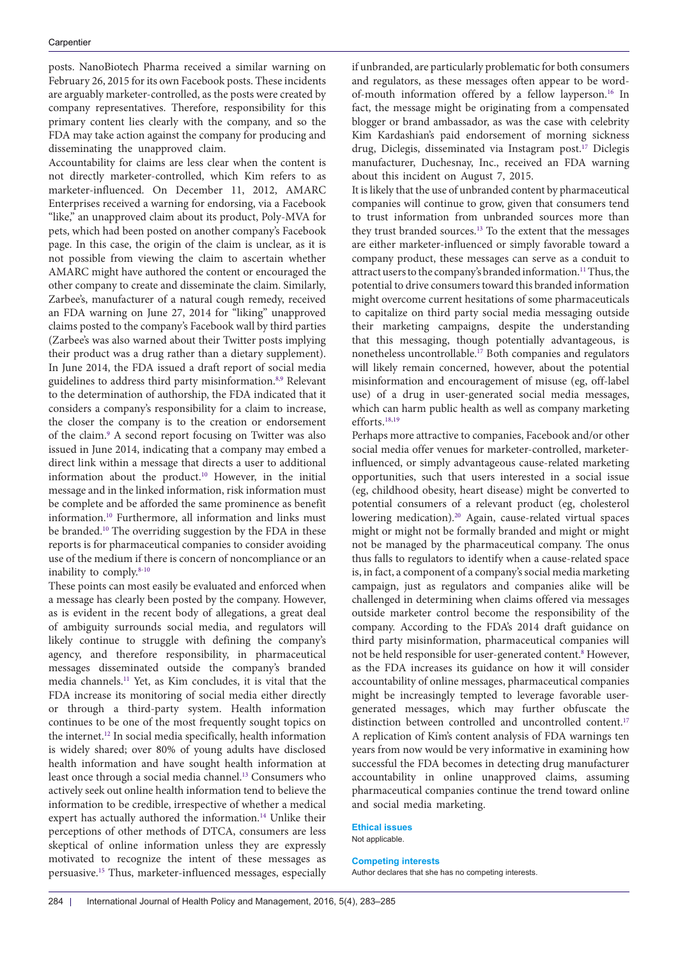posts. NanoBiotech Pharma received a similar warning on February 26, 2015 for its own Facebook posts. These incidents are arguably marketer-controlled, as the posts were created by company representatives. Therefore, responsibility for this primary content lies clearly with the company, and so the FDA may take action against the company for producing and disseminating the unapproved claim.

Accountability for claims are less clear when the content is not directly marketer-controlled, which Kim refers to as marketer-influenced. On December 11, 2012, AMARC Enterprises received a warning for endorsing, via a Facebook "like," an unapproved claim about its product, Poly-MVA for pets, which had been posted on another company's Facebook page. In this case, the origin of the claim is unclear, as it is not possible from viewing the claim to ascertain whether AMARC might have authored the content or encouraged the other company to create and disseminate the claim. Similarly, Zarbee's, manufacturer of a natural cough remedy, received an FDA warning on June 27, 2014 for "liking" unapproved claims posted to the company's Facebook wall by third parties (Zarbee's was also warned about their Twitter posts implying their product was a drug rather than a dietary supplement). In June 2014, the FDA issued a draft report of social media guidelines to address third party misinformation.<sup>[8,](#page-2-7)[9](#page-2-8)</sup> Relevant to the determination of authorship, the FDA indicated that it considers a company's responsibility for a claim to increase, the closer the company is to the creation or endorsement of the claim.<sup>[9](#page-2-8)</sup> A second report focusing on Twitter was also issued in June 2014, indicating that a company may embed a direct link within a message that directs a user to additional information about the product.[10](#page-2-9) However, in the initial message and in the linked information, risk information must be complete and be afforded the same prominence as benefit information[.10](#page-2-9) Furthermore, all information and links must be branded.[10](#page-2-9) The overriding suggestion by the FDA in these reports is for pharmaceutical companies to consider avoiding use of the medium if there is concern of noncompliance or an inability to comply[.8](#page-2-7)[-10](#page-2-9)

These points can most easily be evaluated and enforced when a message has clearly been posted by the company. However, as is evident in the recent body of allegations, a great deal of ambiguity surrounds social media, and regulators will likely continue to struggle with defining the company's agency, and therefore responsibility, in pharmaceutical messages disseminated outside the company's branded media channels[.11](#page-2-10) Yet, as Kim concludes, it is vital that the FDA increase its monitoring of social media either directly or through a third-party system. Health information continues to be one of the most frequently sought topics on the internet[.12](#page-2-11) In social media specifically, health information is widely shared; over 80% of young adults have disclosed health information and have sought health information at least once through a social media channel.[13](#page-2-12) Consumers who actively seek out online health information tend to believe the information to be credible, irrespective of whether a medical expert has actually authored the information[.14](#page-2-13) Unlike their perceptions of other methods of DTCA, consumers are less skeptical of online information unless they are expressly motivated to recognize the intent of these messages as persuasive[.15](#page-2-14) Thus, marketer-influenced messages, especially if unbranded, are particularly problematic for both consumers and regulators, as these messages often appear to be wordof-mouth information offered by a fellow layperson[.16](#page-2-15) In fact, the message might be originating from a compensated blogger or brand ambassador, as was the case with celebrity Kim Kardashian's paid endorsement of morning sickness drug, Diclegis, disseminated via Instagram post.<sup>[17](#page-2-16)</sup> Diclegis manufacturer, Duchesnay, Inc., received an FDA warning about this incident on August 7, 2015.

It is likely that the use of unbranded content by pharmaceutical companies will continue to grow, given that consumers tend to trust information from unbranded sources more than they trust branded sources.<sup>[13](#page-2-12)</sup> To the extent that the messages are either marketer-influenced or simply favorable toward a company product, these messages can serve as a conduit to attract users to the company's branded information[.11](#page-2-10) Thus, the potential to drive consumers toward this branded information might overcome current hesitations of some pharmaceuticals to capitalize on third party social media messaging outside their marketing campaigns, despite the understanding that this messaging, though potentially advantageous, is nonetheless uncontrollable.[17](#page-2-16) Both companies and regulators will likely remain concerned, however, about the potential misinformation and encouragement of misuse (eg, off-label use) of a drug in user-generated social media messages, which can harm public health as well as company marketing efforts.[18](#page-2-17)[,19](#page-2-18)

Perhaps more attractive to companies, Facebook and/or other social media offer venues for marketer-controlled, marketerinfluenced, or simply advantageous cause-related marketing opportunities, such that users interested in a social issue (eg, childhood obesity, heart disease) might be converted to potential consumers of a relevant product (eg, cholesterol lowering medication).<sup>20</sup> Again, cause-related virtual spaces might or might not be formally branded and might or might not be managed by the pharmaceutical company. The onus thus falls to regulators to identify when a cause-related space is, in fact, a component of a company's social media marketing campaign, just as regulators and companies alike will be challenged in determining when claims offered via messages outside marketer control become the responsibility of the company. According to the FDA's 2014 draft guidance on third party misinformation, pharmaceutical companies will not be held responsible for user-generated content.<sup>8</sup> However, as the FDA increases its guidance on how it will consider accountability of online messages, pharmaceutical companies might be increasingly tempted to leverage favorable usergenerated messages, which may further obfuscate the distinction between controlled and uncontrolled content.<sup>17</sup> A replication of Kim's content analysis of FDA warnings ten years from now would be very informative in examining how successful the FDA becomes in detecting drug manufacturer accountability in online unapproved claims, assuming pharmaceutical companies continue the trend toward online and social media marketing.

#### **Ethical issues** Not applicable.

### **Competing interests**

Author declares that she has no competing interests.